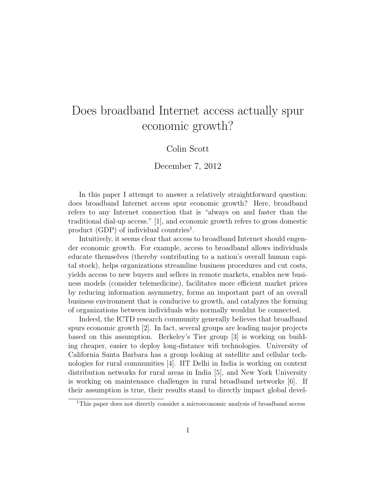# Does broadband Internet access actually spur economic growth?

#### Colin Scott

December 7, 2012

In this paper I attempt to answer a relatively straightforward question: does broadband Internet access spur economic growth? Here, broadband refers to any Internet connection that is "always on and faster than the traditional dial-up access." [1], and economic growth refers to gross domestic product (GDP) of individual countries<sup>1</sup>.

Intuitively, it seems clear that access to broadband Internet should engender economic growth. For example, access to broadband allows individuals educate themselves (thereby contributing to a nation's overall human capital stock), helps organizations streamline business procedures and cut costs, yields access to new buyers and sellers in remote markets, enables new business models (consider telemedicine), facilitates more efficient market prices by reducing information asymmetry, forms an important part of an overall business environment that is conducive to growth, and catalyzes the forming of organizations between individuals who normally wouldnt be connected.

Indeed, the ICTD research community generally believes that broadband spurs economic growth [2]. In fact, several groups are leading major projects based on this assumption. Berkeley's Tier group [3] is working on building cheaper, easier to deploy long-distance wifi technologies. University of California Santa Barbara has a group looking at satellite and cellular technologies for rural communities [4]. IIT Delhi in India is working on content distribution networks for rural areas in India [5], and New York University is working on maintenance challenges in rural broadband networks [6]. If their assumption is true, their results stand to directly impact global devel-

<sup>&</sup>lt;sup>1</sup>This paper does not directly consider a microeconomic analysis of broadband access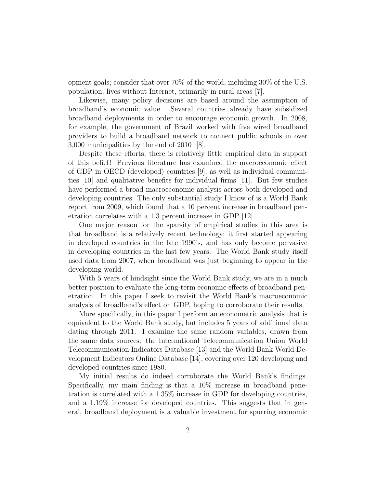opment goals; consider that over 70% of the world, including 30% of the U.S. population, lives without Internet, primarily in rural areas [7].

Likewise, many policy decisions are based around the assumption of broadband's economic value. Several countries already have subsidized broadband deployments in order to encourage economic growth. In 2008, for example, the government of Brazil worked with five wired broadband providers to build a broadband network to connect public schools in over 3,000 municipalities by the end of 2010 [8].

Despite these efforts, there is relatively little empirical data in support of this belief! Previous literature has examined the macroeconomic effect of GDP in OECD (developed) countries [9], as well as individual communities [10] and qualitative benefits for individual firms [11]. But few studies have performed a broad macroeconomic analysis across both developed and developing countries. The only substantial study I know of is a World Bank report from 2009, which found that a 10 percent increase in broadband penetration correlates with a 1.3 percent increase in GDP [12].

One major reason for the sparsity of empirical studies in this area is that broadband is a relatively recent technology; it first started appearing in developed countries in the late 1990's, and has only become pervasive in developing countries in the last few years. The World Bank study itself used data from 2007, when broadband was just beginning to appear in the developing world.

With 5 years of hindsight since the World Bank study, we are in a much better position to evaluate the long-term economic effects of broadband penetration. In this paper I seek to revisit the World Bank's macroeconomic analysis of broadband's effect on GDP, hoping to corroborate their results.

More specifically, in this paper I perform an econometric analysis that is equivalent to the World Bank study, but includes 5 years of additional data dating through 2011. I examine the same random variables, drawn from the same data sources: the International Telecommunication Union World Telecommunication Indicators Database [13] and the World Bank World Development Indicators Online Database [14], covering over 120 developing and developed countries since 1980.

My initial results do indeed corroborate the World Bank's findings. Specifically, my main finding is that a 10% increase in broadband penetration is correlated with a 1.35% increase in GDP for developing countries, and a 1.19% increase for developed countries. This suggests that in general, broadband deployment is a valuable investment for spurring economic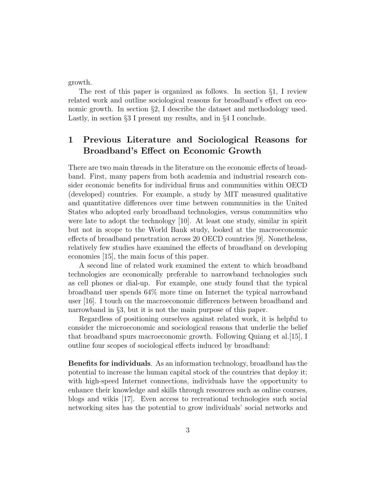growth.

The rest of this paper is organized as follows. In section §1, I review related work and outline sociological reasons for broadband's effect on economic growth. In section §2, I describe the dataset and methodology used. Lastly, in section §3 I present my results, and in §4 I conclude.

# 1 Previous Literature and Sociological Reasons for Broadband's Effect on Economic Growth

There are two main threads in the literature on the economic effects of broadband. First, many papers from both academia and industrial research consider economic benefits for individual firms and communities within OECD (developed) countries. For example, a study by MIT measured qualitative and quantitative differences over time between communities in the United States who adopted early broadband technologies, versus communities who were late to adopt the technology [10]. At least one study, similar in spirit but not in scope to the World Bank study, looked at the macroeconomic effects of broadband penetration across 20 OECD countries [9]. Nonetheless, relatively few studies have examined the effects of broadband on developing economies [15], the main focus of this paper.

A second line of related work examined the extent to which broadband technologies are economically preferable to narrowband technologies such as cell phones or dial-up. For example, one study found that the typical broadband user spends 64% more time on Internet the typical narrowband user [16]. I touch on the macroeconomic differences between broadband and narrowband in §3, but it is not the main purpose of this paper.

Regardless of positioning ourselves against related work, it is helpful to consider the microeconomic and sociological reasons that underlie the belief that broadband spurs macroeconomic growth. Following Quiang et al.[15], I outline four scopes of sociological effects induced by broadband:

Benefits for individuals. As an information technology, broadband has the potential to increase the human capital stock of the countries that deploy it; with high-speed Internet connections, individuals have the opportunity to enhance their knowledge and skills through resources such as online courses, blogs and wikis [17]. Even access to recreational technologies such social networking sites has the potential to grow individuals' social networks and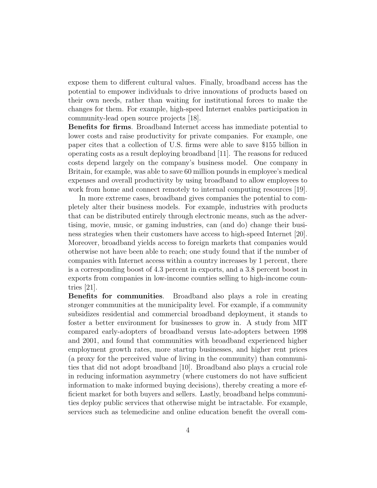expose them to different cultural values. Finally, broadband access has the potential to empower individuals to drive innovations of products based on their own needs, rather than waiting for institutional forces to make the changes for them. For example, high-speed Internet enables participation in community-lead open source projects [18].

Benefits for firms. Broadband Internet access has immediate potential to lower costs and raise productivity for private companies. For example, one paper cites that a collection of U.S. firms were able to save \$155 billion in operating costs as a result deploying broadband [11]. The reasons for reduced costs depend largely on the company's business model. One company in Britain, for example, was able to save 60 million pounds in employee's medical expenses and overall productivity by using broadband to allow employees to work from home and connect remotely to internal computing resources [19].

In more extreme cases, broadband gives companies the potential to completely alter their business models. For example, industries with products that can be distributed entirely through electronic means, such as the advertising, movie, music, or gaming industries, can (and do) change their business strategies when their customers have access to high-speed Internet [20]. Moreover, broadband yields access to foreign markets that companies would otherwise not have been able to reach; one study found that if the number of companies with Internet access within a country increases by 1 percent, there is a corresponding boost of 4.3 percent in exports, and a 3.8 percent boost in exports from companies in low-income counties selling to high-income countries [21].

Benefits for communities. Broadband also plays a role in creating stronger communities at the municipality level. For example, if a community subsidizes residential and commercial broadband deployment, it stands to foster a better environment for businesses to grow in. A study from MIT compared early-adopters of broadband versus late-adopters between 1998 and 2001, and found that communities with broadband experienced higher employment growth rates, more startup businesses, and higher rent prices (a proxy for the perceived value of living in the community) than communities that did not adopt broadband [10]. Broadband also plays a crucial role in reducing information asymmetry (where customers do not have sufficient information to make informed buying decisions), thereby creating a more efficient market for both buyers and sellers. Lastly, broadband helps communities deploy public services that otherwise might be intractable. For example, services such as telemedicine and online education benefit the overall com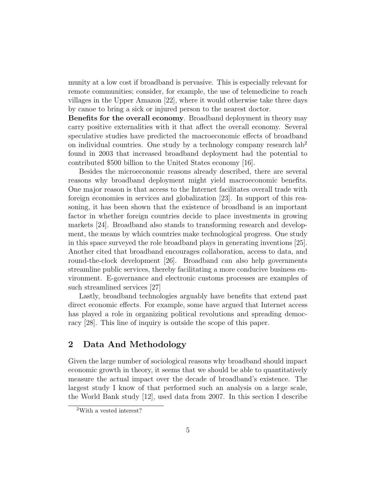munity at a low cost if broadband is pervasive. This is especially relevant for remote communities; consider, for example, the use of telemedicine to reach villages in the Upper Amazon [22], where it would otherwise take three days by canoe to bring a sick or injured person to the nearest doctor.

Benefits for the overall economy. Broadband deployment in theory may carry positive externalities with it that affect the overall economy. Several speculative studies have predicted the macroeconomic effects of broadband on individual countries. One study by a technology company research  $\text{lab}^2$ found in 2003 that increased broadband deployment had the potential to contributed \$500 billion to the United States economy [16].

Besides the microeconomic reasons already described, there are several reasons why broadband deployment might yield macroeconomic benefits. One major reason is that access to the Internet facilitates overall trade with foreign economies in services and globalization [23]. In support of this reasoning, it has been shown that the existence of broadband is an important factor in whether foreign countries decide to place investments in growing markets [24]. Broadband also stands to transforming research and development, the means by which countries make technological progress. One study in this space surveyed the role broadband plays in generating inventions [25]. Another cited that broadband encourages collaboration, access to data, and round-the-clock development [26]. Broadband can also help governments streamline public services, thereby facilitating a more conducive business environment. E-governance and electronic customs processes are examples of such streamlined services [27]

Lastly, broadband technologies arguably have benefits that extend past direct economic effects. For example, some have argued that Internet access has played a role in organizing political revolutions and spreading democracy [28]. This line of inquiry is outside the scope of this paper.

## 2 Data And Methodology

Given the large number of sociological reasons why broadband should impact economic growth in theory, it seems that we should be able to quantitatively measure the actual impact over the decade of broadband's existence. The largest study I know of that performed such an analysis on a large scale, the World Bank study [12], used data from 2007. In this section I describe

<sup>2</sup>With a vested interest?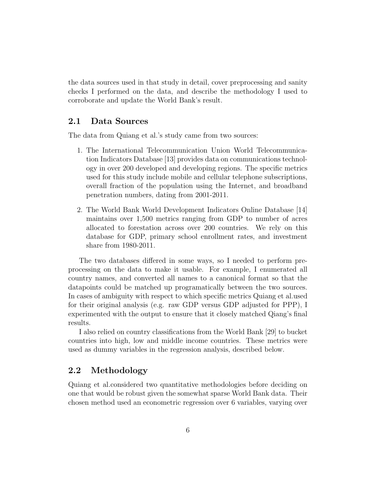the data sources used in that study in detail, cover preprocessing and sanity checks I performed on the data, and describe the methodology I used to corroborate and update the World Bank's result.

#### 2.1 Data Sources

The data from Quiang et al.'s study came from two sources:

- 1. The International Telecommunication Union World Telecommunication Indicators Database [13] provides data on communications technology in over 200 developed and developing regions. The specific metrics used for this study include mobile and cellular telephone subscriptions, overall fraction of the population using the Internet, and broadband penetration numbers, dating from 2001-2011.
- 2. The World Bank World Development Indicators Online Database [14] maintains over 1,500 metrics ranging from GDP to number of acres allocated to forestation across over 200 countries. We rely on this database for GDP, primary school enrollment rates, and investment share from 1980-2011.

The two databases differed in some ways, so I needed to perform preprocessing on the data to make it usable. For example, I enumerated all country names, and converted all names to a canonical format so that the datapoints could be matched up programatically between the two sources. In cases of ambiguity with respect to which specific metrics Quiang et al.used for their original analysis (e.g. raw GDP versus GDP adjusted for PPP), I experimented with the output to ensure that it closely matched Qiang's final results.

I also relied on country classifications from the World Bank [29] to bucket countries into high, low and middle income countries. These metrics were used as dummy variables in the regression analysis, described below.

### 2.2 Methodology

Quiang et al.considered two quantitative methodologies before deciding on one that would be robust given the somewhat sparse World Bank data. Their chosen method used an econometric regression over 6 variables, varying over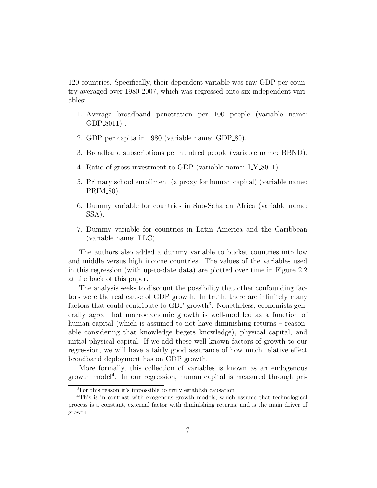120 countries. Specifically, their dependent variable was raw GDP per country averaged over 1980-2007, which was regressed onto six independent variables:

- 1. Average broadband penetration per 100 people (variable name:  $GDP_8011$ .
- 2. GDP per capita in 1980 (variable name: GDP\_80).
- 3. Broadband subscriptions per hundred people (variable name: BBND).
- 4. Ratio of gross investment to GDP (variable name: I\_Y\_8011).
- 5. Primary school enrollment (a proxy for human capital) (variable name:  $PRIM_80$ ).
- 6. Dummy variable for countries in Sub-Saharan Africa (variable name: SSA).
- 7. Dummy variable for countries in Latin America and the Caribbean (variable name: LLC)

The authors also added a dummy variable to bucket countries into low and middle versus high income countries. The values of the variables used in this regression (with up-to-date data) are plotted over time in Figure 2.2 at the back of this paper.

The analysis seeks to discount the possibility that other confounding factors were the real cause of GDP growth. In truth, there are infinitely many factors that could contribute to GDP growth<sup>3</sup>. Nonetheless, economists generally agree that macroeconomic growth is well-modeled as a function of human capital (which is assumed to not have diminishing returns – reasonable considering that knowledge begets knowledge), physical capital, and initial physical capital. If we add these well known factors of growth to our regression, we will have a fairly good assurance of how much relative effect broadband deployment has on GDP growth.

More formally, this collection of variables is known as an endogenous growth model<sup>4</sup> . In our regression, human capital is measured through pri-

<sup>3</sup>For this reason it's impossible to truly establish causation

<sup>4</sup>This is in contrast with exogenous growth models, which assume that technological process is a constant, external factor with diminishing returns, and is the main driver of growth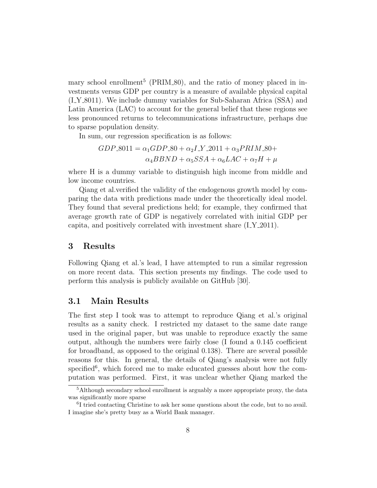mary school enrollment<sup>5</sup> (PRIM\_80), and the ratio of money placed in investments versus GDP per country is a measure of available physical capital  $(I_Y_{8011})$ . We include dummy variables for Sub-Saharan Africa (SSA) and Latin America (LAC) to account for the general belief that these regions see less pronounced returns to telecommunications infrastructure, perhaps due to sparse population density.

In sum, our regression specification is as follows:

$$
GDP\_8011 = \alpha_1 GDP\_80 + \alpha_2 I\_Y\_2011 + \alpha_3 PRIM\_80 +
$$
  

$$
\alpha_4 B BND + \alpha_5 SSA + \alpha_6 LAC + \alpha_7 H + \mu
$$

where H is a dummy variable to distinguish high income from middle and low income countries.

Qiang et al.verified the validity of the endogenous growth model by comparing the data with predictions made under the theoretically ideal model. They found that several predictions held; for example, they confirmed that average growth rate of GDP is negatively correlated with initial GDP per capita, and positively correlated with investment share  $(I_{\mathcal{X}} 2011)$ .

#### 3 Results

Following Qiang et al.'s lead, I have attempted to run a similar regression on more recent data. This section presents my findings. The code used to perform this analysis is publicly available on GitHub [30].

#### 3.1 Main Results

The first step I took was to attempt to reproduce Qiang et al.'s original results as a sanity check. I restricted my dataset to the same date range used in the original paper, but was unable to reproduce exactly the same output, although the numbers were fairly close (I found a 0.145 coefficient for broadband, as opposed to the original 0.138). There are several possible reasons for this. In general, the details of Qiang's analysis were not fully specified<sup>6</sup>, which forced me to make educated guesses about how the computation was performed. First, it was unclear whether Qiang marked the

<sup>&</sup>lt;sup>5</sup>Although secondary school enrollment is arguably a more appropriate proxy, the data was significantly more sparse

<sup>&</sup>lt;sup>6</sup>I tried contacting Christine to ask her some questions about the code, but to no avail. I imagine she's pretty busy as a World Bank manager.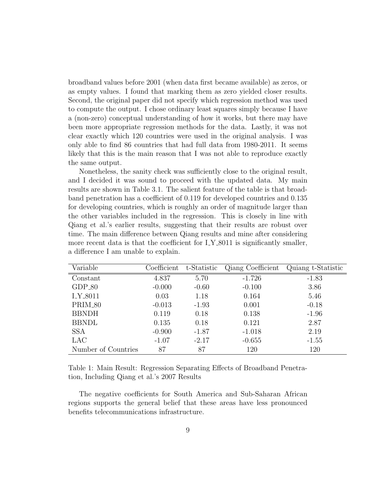broadband values before 2001 (when data first became available) as zeros, or as empty values. I found that marking them as zero yielded closer results. Second, the original paper did not specify which regression method was used to compute the output. I chose ordinary least squares simply because I have a (non-zero) conceptual understanding of how it works, but there may have been more appropriate regression methods for the data. Lastly, it was not clear exactly which 120 countries were used in the original analysis. I was only able to find 86 countries that had full data from 1980-2011. It seems likely that this is the main reason that I was not able to reproduce exactly the same output.

Nonetheless, the sanity check was sufficiently close to the original result, and I decided it was sound to proceed with the updated data. My main results are shown in Table 3.1. The salient feature of the table is that broadband penetration has a coefficient of 0.119 for developed countries and 0.135 for developing countries, which is roughly an order of magnitude larger than the other variables included in the regression. This is closely in line with Qiang et al.'s earlier results, suggesting that their results are robust over time. The main difference between Qiang results and mine after considering more recent data is that the coefficient for LY\_8011 is significantly smaller, a difference I am unable to explain.

| Variable            | Coefficient | t-Statistic | Qiang Coefficient | Quiang t-Statistic |
|---------------------|-------------|-------------|-------------------|--------------------|
| Constant            | 4.837       | 5.70        | $-1.726$          | $-1.83$            |
| $GDP_80$            | $-0.000$    | $-0.60$     | $-0.100$          | 3.86               |
| <b>I_Y_8011</b>     | 0.03        | 1.18        | 0.164             | 5.46               |
| PRIM <sub>-80</sub> | $-0.013$    | $-1.93$     | 0.001             | $-0.18$            |
| <b>BBNDH</b>        | 0.119       | 0.18        | 0.138             | $-1.96$            |
| <b>BBNDL</b>        | 0.135       | 0.18        | 0.121             | 2.87               |
| <b>SSA</b>          | $-0.900$    | $-1.87$     | $-1.018$          | 2.19               |
| LAC                 | $-1.07$     | $-2.17$     | $-0.655$          | $-1.55$            |
| Number of Countries | 87          | 87          | 120               | 120                |

Table 1: Main Result: Regression Separating Effects of Broadband Penetration, Including Qiang et al.'s 2007 Results

The negative coefficients for South America and Sub-Saharan African regions supports the general belief that these areas have less pronounced benefits telecommunications infrastructure.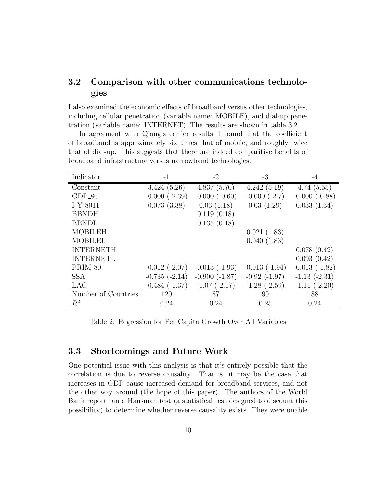## 3.2 Comparison with other communications technologies

I also examined the economic effects of broadband versus other technologies, including cellular penetration (variable name: MOBILE), and dial-up penetration (variable name: INTERNET). The results are shown in table 3.2.

In agreement with Qiang's earlier results, I found that the coefficient of broadband is approximately six times that of mobile, and roughly twice that of dial-up. This suggests that there are indeed comparitive benefits of broadband infrastructure versus narrowband technologies.

| Indicator           | $-1$               | $-2$              | $-3$              | $-4$            |
|---------------------|--------------------|-------------------|-------------------|-----------------|
| Constant            | 3.424(5.26)        | 4.837(5.70)       | 4.242(5.19)       | 4.74(5.55)      |
| $GDP_80$            | $-0.000(-2.39)$    | $-0.000(-0.60)$   | $-0.000(-2.7)$    | $-0.000(-0.88)$ |
| <b>I_Y_8011</b>     | 0.073(3.38)        | 0.03(1.18)        | 0.03(1.29)        | 0.033(1.34)     |
| <b>BBNDH</b>        |                    | 0.119(0.18)       |                   |                 |
| <b>BBNDL</b>        |                    | 0.135(0.18)       |                   |                 |
| <b>MOBILEH</b>      |                    |                   | 0.021(1.83)       |                 |
| <b>MOBILEL</b>      |                    |                   | 0.040(1.83)       |                 |
| <b>INTERNETH</b>    |                    |                   |                   | 0.078(0.42)     |
| <b>INTERNETL</b>    |                    |                   |                   | 0.093(0.42)     |
| PRIM_80             | $-0.012$ $(-2.07)$ | $-0.013(-1.93)$   | $-0.013(-1.94)$   | $-0.013(-1.82)$ |
| <b>SSA</b>          | $-0.735(-2.14)$    | $-0.900(-1.87)$   | $-0.92$ $(-1.97)$ | $-1.13(-2.31)$  |
| <b>LAC</b>          | $-0.484(-1.37)$    | $-1.07$ $(-2.17)$ | $-1.28(-2.59)$    | $-1.11(-2.20)$  |
| Number of Countries | 120                | 87                | 90                | 88              |
| $R^2$               | 0.24               | 0.24              | 0.25              | 0.24            |

Table 2: Regression for Per Capita Growth Over All Variables

#### 3.3 Shortcomings and Future Work

One potential issue with this analysis is that it's entirely possible that the correlation is due to reverse causality. That is, it may be the case that increases in GDP cause increased demand for broadband services, and not the other way around (the hope of this paper). The authors of the World Bank report ran a Hausman test (a statistical test designed to discount this possibility) to determine whether reverse causality exists. They were unable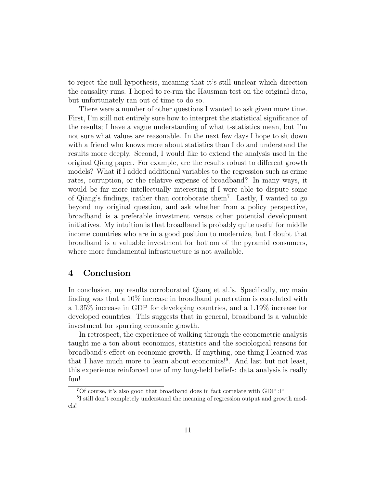to reject the null hypothesis, meaning that it's still unclear which direction the causality runs. I hoped to re-run the Hausman test on the original data, but unfortunately ran out of time to do so.

There were a number of other questions I wanted to ask given more time. First, I'm still not entirely sure how to interpret the statistical significance of the results; I have a vague understanding of what t-statistics mean, but I'm not sure what values are reasonable. In the next few days I hope to sit down with a friend who knows more about statistics than I do and understand the results more deeply. Second, I would like to extend the analysis used in the original Qiang paper. For example, are the results robust to different growth models? What if I added additional variables to the regression such as crime rates, corruption, or the relative expense of broadband? In many ways, it would be far more intellectually interesting if I were able to dispute some of Qiang's findings, rather than corroborate them<sup>7</sup> . Lastly, I wanted to go beyond my original question, and ask whether from a policy perspective, broadband is a preferable investment versus other potential development initiatives. My intuition is that broadband is probably quite useful for middle income countries who are in a good position to modernize, but I doubt that broadband is a valuable investment for bottom of the pyramid consumers, where more fundamental infrastructure is not available.

#### 4 Conclusion

In conclusion, my results corroborated Qiang et al.'s. Specifically, my main finding was that a 10% increase in broadband penetration is correlated with a 1.35% increase in GDP for developing countries, and a 1.19% increase for developed countries. This suggests that in general, broadband is a valuable investment for spurring economic growth.

In retrospect, the experience of walking through the econometric analysis taught me a ton about economics, statistics and the sociological reasons for broadband's effect on economic growth. If anything, one thing I learned was that I have much more to learn about economics!<sup>8</sup> . And last but not least, this experience reinforced one of my long-held beliefs: data analysis is really fun!

<sup>7</sup>Of course, it's also good that broadband does in fact correlate with GDP :P

<sup>&</sup>lt;sup>8</sup>I still don't completely understand the meaning of regression output and growth models!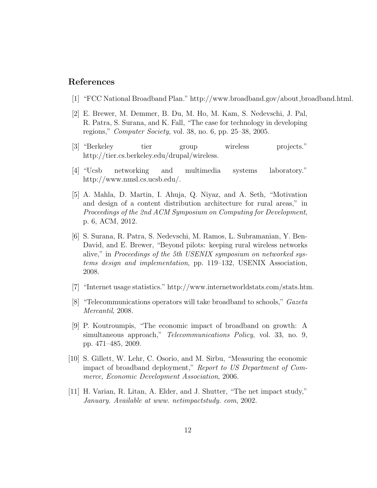#### References

- [1] "FCC National Broadband Plan." http://www.broadband.gov/about broadband.html.
- [2] E. Brewer, M. Demmer, B. Du, M. Ho, M. Kam, S. Nedevschi, J. Pal, R. Patra, S. Surana, and K. Fall, "The case for technology in developing regions," Computer Society, vol. 38, no. 6, pp. 25–38, 2005.
- [3] "Berkeley tier group wireless projects." http://tier.cs.berkeley.edu/drupal/wireless.
- [4] "Ucsb networking and multimedia systems laboratory." http://www.nmsl.cs.ucsb.edu/.
- [5] A. Mahla, D. Martin, I. Ahuja, Q. Niyaz, and A. Seth, "Motivation and design of a content distribution architecture for rural areas," in Proceedings of the 2nd ACM Symposium on Computing for Development, p. 6, ACM, 2012.
- [6] S. Surana, R. Patra, S. Nedevschi, M. Ramos, L. Subramanian, Y. Ben-David, and E. Brewer, "Beyond pilots: keeping rural wireless networks alive," in Proceedings of the 5th USENIX symposium on networked systems design and implementation, pp. 119–132, USENIX Association, 2008.
- [7] "Internet usage statistics." http://www.internetworldstats.com/stats.htm.
- [8] "Telecommunications operators will take broadband to schools," Gazeta Mercantil, 2008.
- [9] P. Koutroumpis, "The economic impact of broadband on growth: A simultaneous approach," Telecommunications Policy, vol. 33, no. 9, pp. 471–485, 2009.
- [10] S. Gillett, W. Lehr, C. Osorio, and M. Sirbu, "Measuring the economic impact of broadband deployment," Report to US Department of Commerce, Economic Development Association, 2006.
- [11] H. Varian, R. Litan, A. Elder, and J. Shutter, "The net impact study," January. Available at www. netimpactstudy. com, 2002.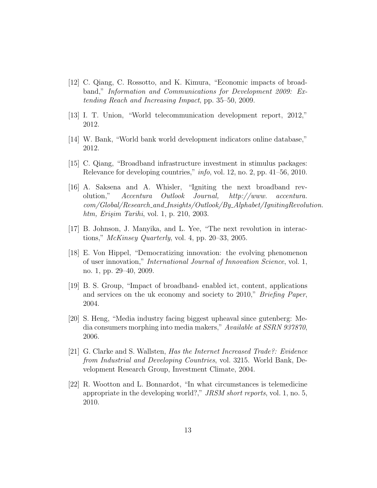- [12] C. Qiang, C. Rossotto, and K. Kimura, "Economic impacts of broadband," Information and Communications for Development 2009: Extending Reach and Increasing Impact, pp. 35–50, 2009.
- [13] I. T. Union, "World telecommunication development report, 2012," 2012.
- [14] W. Bank, "World bank world development indicators online database," 2012.
- [15] C. Qiang, "Broadband infrastructure investment in stimulus packages: Relevance for developing countries," info, vol. 12, no. 2, pp. 41–56, 2010.
- [16] A. Saksena and A. Whisler, "Igniting the next broadband revolution," Accentura Outlook Journal, http://www. accentura. com/Global/Research and Insights/Outlook/By Alphabet/IgnitingRevolution. htm, Erişim Tarihi, vol. 1, p. 210, 2003.
- [17] B. Johnson, J. Manyika, and L. Yee, "The next revolution in interactions," McKinsey Quarterly, vol. 4, pp. 20–33, 2005.
- [18] E. Von Hippel, "Democratizing innovation: the evolving phenomenon of user innovation," International Journal of Innovation Science, vol. 1, no. 1, pp. 29–40, 2009.
- [19] B. S. Group, "Impact of broadband- enabled ict, content, applications and services on the uk economy and society to 2010," Briefing Paper, 2004.
- [20] S. Heng, "Media industry facing biggest upheaval since gutenberg: Media consumers morphing into media makers," Available at SSRN 937870, 2006.
- [21] G. Clarke and S. Wallsten, Has the Internet Increased Trade?: Evidence from Industrial and Developing Countries, vol. 3215. World Bank, Development Research Group, Investment Climate, 2004.
- [22] R. Wootton and L. Bonnardot, "In what circumstances is telemedicine appropriate in the developing world?," JRSM short reports, vol. 1, no. 5, 2010.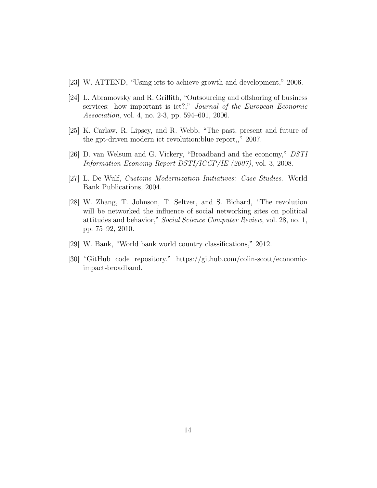- [23] W. ATTEND, "Using icts to achieve growth and development," 2006.
- [24] L. Abramovsky and R. Griffith, "Outsourcing and offshoring of business services: how important is ict?," Journal of the European Economic Association, vol. 4, no. 2-3, pp. 594–601, 2006.
- [25] K. Carlaw, R. Lipsey, and R. Webb, "The past, present and future of the gpt-driven modern ict revolution:blue report,," 2007.
- [26] D. van Welsum and G. Vickery, "Broadband and the economy," DSTI Information Economy Report DSTI/ICCP/IE (2007), vol. 3, 2008.
- [27] L. De Wulf, Customs Modernization Initiatives: Case Studies. World Bank Publications, 2004.
- [28] W. Zhang, T. Johnson, T. Seltzer, and S. Bichard, "The revolution will be networked the influence of social networking sites on political attitudes and behavior," Social Science Computer Review, vol. 28, no. 1, pp. 75–92, 2010.
- [29] W. Bank, "World bank world country classifications," 2012.
- [30] "GitHub code repository." https://github.com/colin-scott/economicimpact-broadband.